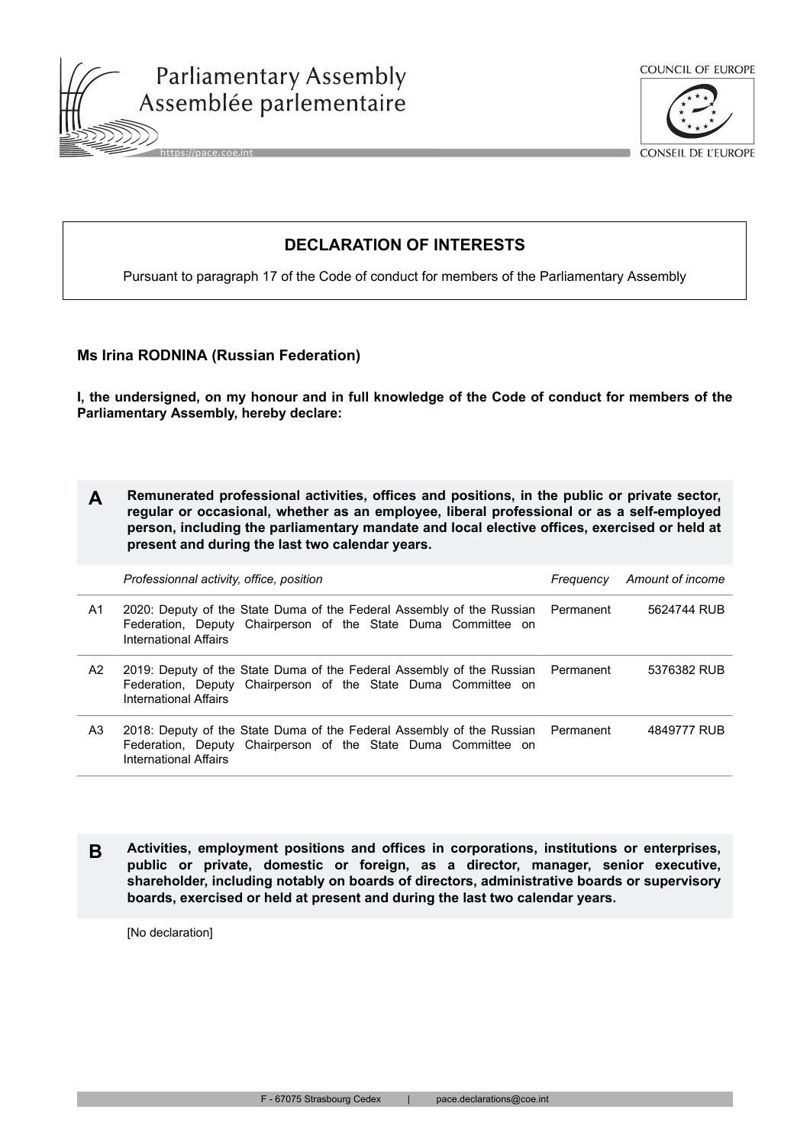





CONSEIL DE L'EUROPE

## **DECLARATION OF INTERESTS**

Pursuant to paragraph 17 of the Code of conduct for members of the Parliamentary Assembly

## **Ms Irina RODNINA (Russian Federation)**

**I, the undersigned, on my honour and in full knowledge of the Code of conduct for members of the Parliamentary Assembly, hereby declare:**

| Remunerated professional activities, offices and positions, in the public or private sector, |
|----------------------------------------------------------------------------------------------|
| regular or occasional, whether as an employee, liberal professional or as a self-employed    |
| person, including the parliamentary mandate and local elective offices, exercised or held at |
| present and during the last two calendar years.                                              |

|    | Professionnal activity, office, position                                                                                                                                         | Freauencv | Amount of income |
|----|----------------------------------------------------------------------------------------------------------------------------------------------------------------------------------|-----------|------------------|
| A1 | 2020: Deputy of the State Duma of the Federal Assembly of the Russian Permanent<br>Federation, Deputy Chairperson of the State Duma Committee on<br>International Affairs        |           | 5624744 RUB      |
| A2 | 2019: Deputy of the State Duma of the Federal Assembly of the Russian Permanent<br>Federation, Deputy Chairperson of the State Duma Committee on<br>International Affairs        |           | 5376382 RUB      |
| A3 | 2018: Deputy of the State Duma of the Federal Assembly of the Russian Permanent<br>Federation, Deputy Chairperson of the State Duma Committee on<br><b>International Affairs</b> |           | 4849777 RUB      |

**B Activities, employment positions and offices in corporations, institutions or enterprises, public or private, domestic or foreign, as a director, manager, senior executive, shareholder, including notably on boards of directors, administrative boards or supervisory boards, exercised or held at present and during the last two calendar years.**

[No declaration]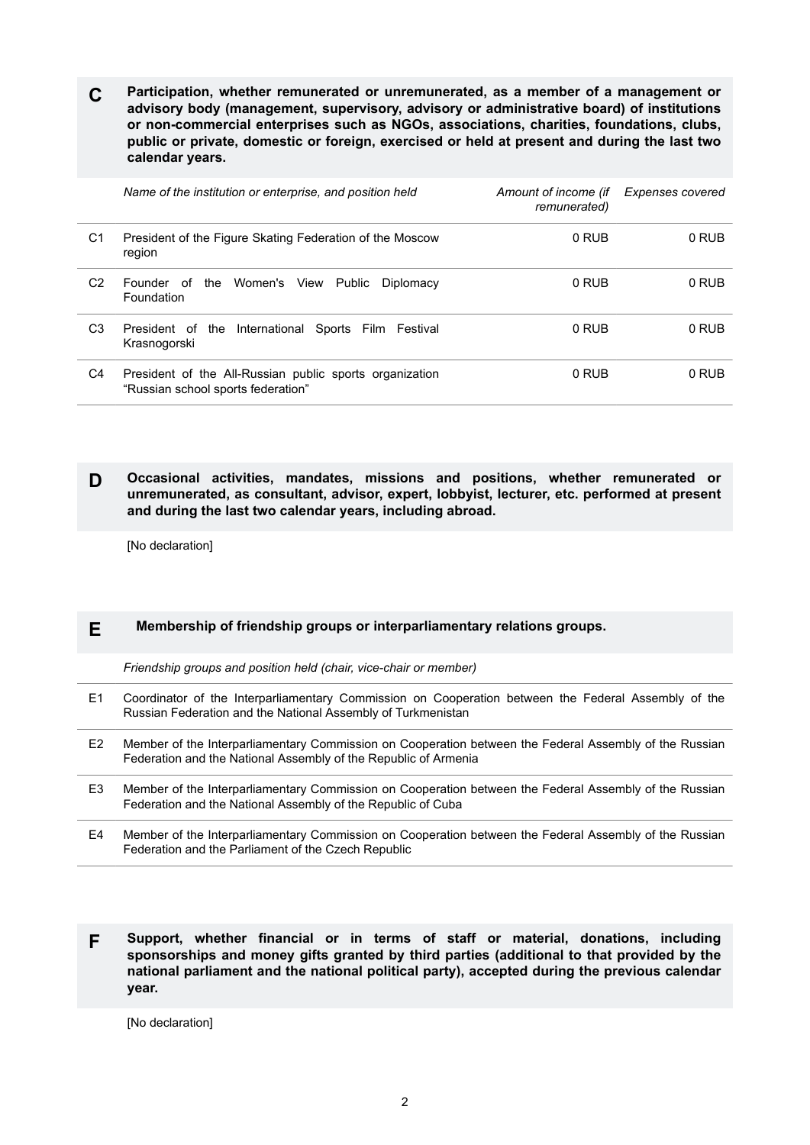**C Participation, whether remunerated or unremunerated, as a member of a management or advisory body (management, supervisory, advisory or administrative board) of institutions or non-commercial enterprises such as NGOs, associations, charities, foundations, clubs, public or private, domestic or foreign, exercised or held at present and during the last two calendar years.**

|    | Name of the institution or enterprise, and position held                                      | Amount of income (if<br>remunerated) | Expenses covered |
|----|-----------------------------------------------------------------------------------------------|--------------------------------------|------------------|
| C1 | President of the Figure Skating Federation of the Moscow<br>region                            | 0 RUB                                | 0 RUB            |
| C2 | the Women's View<br>Public<br>Founder of<br>Diplomacy<br>Foundation                           | 0 RUB                                | 0 RUB            |
| C3 | President of the International<br>Sports Film Festival<br>Krasnogorski                        | 0 RUB                                | 0 RUB            |
| C4 | President of the All-Russian public sports organization<br>"Russian school sports federation" | 0 RUB                                | 0 RUB            |

**D Occasional activities, mandates, missions and positions, whether remunerated or unremunerated, as consultant, advisor, expert, lobbyist, lecturer, etc. performed at present and during the last two calendar years, including abroad.**

[No declaration]

## **E Membership of friendship groups or interparliamentary relations groups.**

*Friendship groups and position held (chair, vice-chair or member)*

- E1 Coordinator of the Interparliamentary Commission on Cooperation between the Federal Assembly of the Russian Federation and the National Assembly of Turkmenistan
- E2 Member of the Interparliamentary Commission on Cooperation between the Federal Assembly of the Russian Federation and the National Assembly of the Republic of Armenia
- E3 Member of the Interparliamentary Commission on Cooperation between the Federal Assembly of the Russian Federation and the National Assembly of the Republic of Cuba
- E4 Member of the Interparliamentary Commission on Cooperation between the Federal Assembly of the Russian Federation and the Parliament of the Czech Republic
- **F Support, whether financial or in terms of staff or material, donations, including sponsorships and money gifts granted by third parties (additional to that provided by the national parliament and the national political party), accepted during the previous calendar year.**

[No declaration]